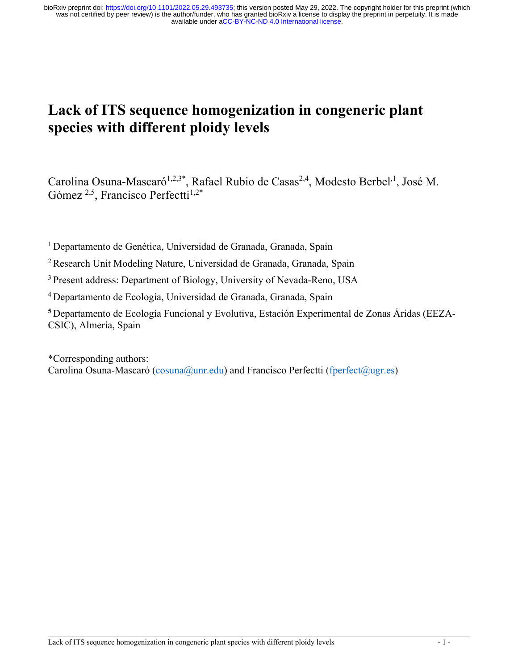# **Lack of ITS sequence homogenization in congeneric plant species with different ploidy levels**

Carolina Osuna-Mascaró<sup>1,2,3\*</sup>, Rafael Rubio de Casas<sup>2,4</sup>, Modesto Berbel<sup>,1</sup>, José M. Gómez  $^{2,5}$ , Francisco Perfectti<sup>1,2\*</sup>

<sup>1</sup> Departamento de Genética, Universidad de Granada, Granada, Spain

2 Research Unit Modeling Nature, Universidad de Granada, Granada, Spain

3 Present address: Department of Biology, University of Nevada-Reno, USA

<sup>4</sup> Departamento de Ecología, Universidad de Granada, Granada, Spain

**<sup>5</sup>** Departamento de Ecología Funcional y Evolutiva, Estación Experimental de Zonas Áridas (EEZA‐ CSIC), Almería, Spain

\*Corresponding authors: Carolina Osuna-Mascaró (cosuna@unr.edu) and Francisco Perfectti (fperfect@ugr.es)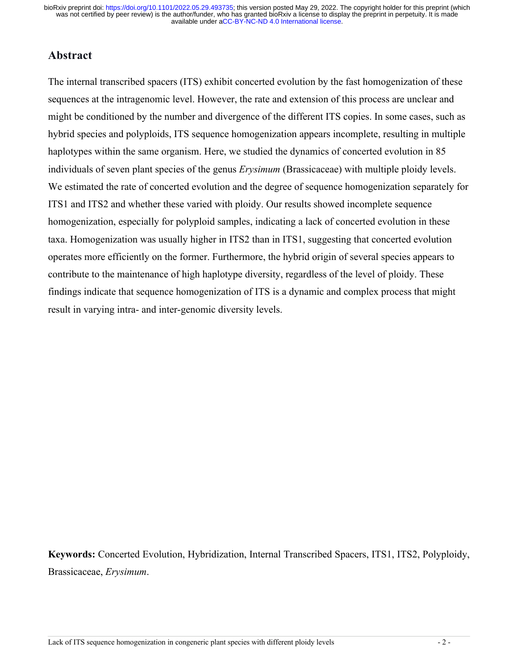### **Abstract**

The internal transcribed spacers (ITS) exhibit concerted evolution by the fast homogenization of these sequences at the intragenomic level. However, the rate and extension of this process are unclear and might be conditioned by the number and divergence of the different ITS copies. In some cases, such as hybrid species and polyploids, ITS sequence homogenization appears incomplete, resulting in multiple haplotypes within the same organism. Here, we studied the dynamics of concerted evolution in 85 individuals of seven plant species of the genus *Erysimum* (Brassicaceae) with multiple ploidy levels. We estimated the rate of concerted evolution and the degree of sequence homogenization separately for ITS1 and ITS2 and whether these varied with ploidy. Our results showed incomplete sequence homogenization, especially for polyploid samples, indicating a lack of concerted evolution in these taxa. Homogenization was usually higher in ITS2 than in ITS1, suggesting that concerted evolution operates more efficiently on the former. Furthermore, the hybrid origin of several species appears to contribute to the maintenance of high haplotype diversity, regardless of the level of ploidy. These findings indicate that sequence homogenization of ITS is a dynamic and complex process that might result in varying intra- and inter-genomic diversity levels.

**Keywords:** Concerted Evolution, Hybridization, Internal Transcribed Spacers, ITS1, ITS2, Polyploidy, Brassicaceae, *Erysimum*.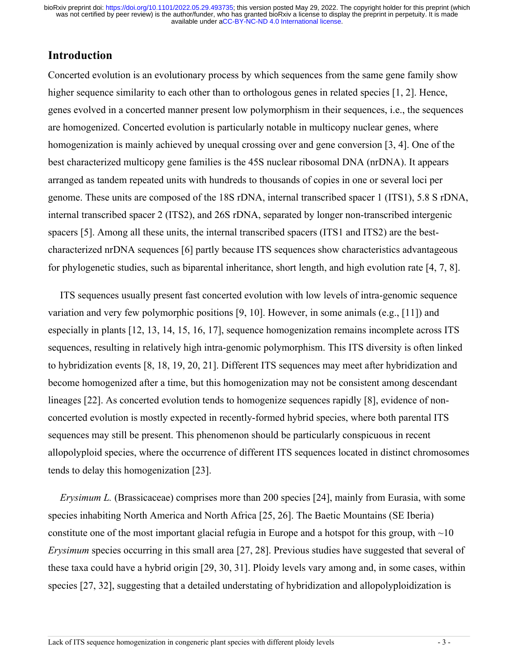# **Introduction**

Concerted evolution is an evolutionary process by which sequences from the same gene family show higher sequence similarity to each other than to orthologous genes in related species [1, 2]. Hence, genes evolved in a concerted manner present low polymorphism in their sequences, i.e., the sequences are homogenized. Concerted evolution is particularly notable in multicopy nuclear genes, where homogenization is mainly achieved by unequal crossing over and gene conversion [3, 4]. One of the best characterized multicopy gene families is the 45S nuclear ribosomal DNA (nrDNA). It appears arranged as tandem repeated units with hundreds to thousands of copies in one or several loci per genome. These units are composed of the 18S rDNA, internal transcribed spacer 1 (ITS1), 5.8 S rDNA, internal transcribed spacer 2 (ITS2), and 26S rDNA, separated by longer non-transcribed intergenic spacers [5]. Among all these units, the internal transcribed spacers (ITS1 and ITS2) are the bestcharacterized nrDNA sequences [6] partly because ITS sequences show characteristics advantageous for phylogenetic studies, such as biparental inheritance, short length, and high evolution rate [4, 7, 8].

ITS sequences usually present fast concerted evolution with low levels of intra-genomic sequence variation and very few polymorphic positions [9, 10]. However, in some animals (e.g., [11]) and especially in plants [12, 13, 14, 15, 16, 17], sequence homogenization remains incomplete across ITS sequences, resulting in relatively high intra-genomic polymorphism. This ITS diversity is often linked to hybridization events [8, 18, 19, 20, 21]. Different ITS sequences may meet after hybridization and become homogenized after a time, but this homogenization may not be consistent among descendant lineages [22]. As concerted evolution tends to homogenize sequences rapidly [8], evidence of nonconcerted evolution is mostly expected in recently-formed hybrid species, where both parental ITS sequences may still be present. This phenomenon should be particularly conspicuous in recent allopolyploid species, where the occurrence of different ITS sequences located in distinct chromosomes tends to delay this homogenization [23].

*Erysimum L.* (Brassicaceae) comprises more than 200 species [24], mainly from Eurasia, with some species inhabiting North America and North Africa [25, 26]. The Baetic Mountains (SE Iberia) constitute one of the most important glacial refugia in Europe and a hotspot for this group, with  $\sim 10$ *Erysimum* species occurring in this small area [27, 28]. Previous studies have suggested that several of these taxa could have a hybrid origin [29, 30, 31]. Ploidy levels vary among and, in some cases, within species [27, 32], suggesting that a detailed understating of hybridization and allopolyploidization is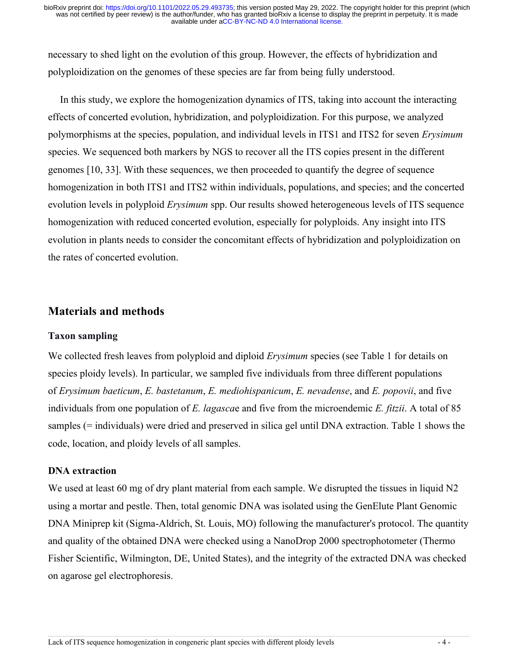necessary to shed light on the evolution of this group. However, the effects of hybridization and polyploidization on the genomes of these species are far from being fully understood.

In this study, we explore the homogenization dynamics of ITS, taking into account the interacting effects of concerted evolution, hybridization, and polyploidization. For this purpose, we analyzed polymorphisms at the species, population, and individual levels in ITS1 and ITS2 for seven *Erysimum* species. We sequenced both markers by NGS to recover all the ITS copies present in the different genomes [10, 33]. With these sequences, we then proceeded to quantify the degree of sequence homogenization in both ITS1 and ITS2 within individuals, populations, and species; and the concerted evolution levels in polyploid *Erysimum* spp. Our results showed heterogeneous levels of ITS sequence homogenization with reduced concerted evolution, especially for polyploids. Any insight into ITS evolution in plants needs to consider the concomitant effects of hybridization and polyploidization on the rates of concerted evolution.

### **Materials and methods**

#### **Taxon sampling**

We collected fresh leaves from polyploid and diploid *Erysimum* species (see Table 1 for details on species ploidy levels). In particular, we sampled five individuals from three different populations of *Erysimum baeticum*, *E. bastetanum*, *E. mediohispanicum*, *E. nevadense*, and *E. popovii*, and five individuals from one population of *E. lagasca*e and five from the microendemic *E. fitzii*. A total of 85 samples (= individuals) were dried and preserved in silica gel until DNA extraction. Table 1 shows the code, location, and ploidy levels of all samples.

#### **DNA extraction**

We used at least 60 mg of dry plant material from each sample. We disrupted the tissues in liquid N2 using a mortar and pestle. Then, total genomic DNA was isolated using the GenElute Plant Genomic DNA Miniprep kit (Sigma-Aldrich, St. Louis, MO) following the manufacturer's protocol. The quantity and quality of the obtained DNA were checked using a NanoDrop 2000 spectrophotometer (Thermo Fisher Scientific, Wilmington, DE, United States), and the integrity of the extracted DNA was checked on agarose gel electrophoresis.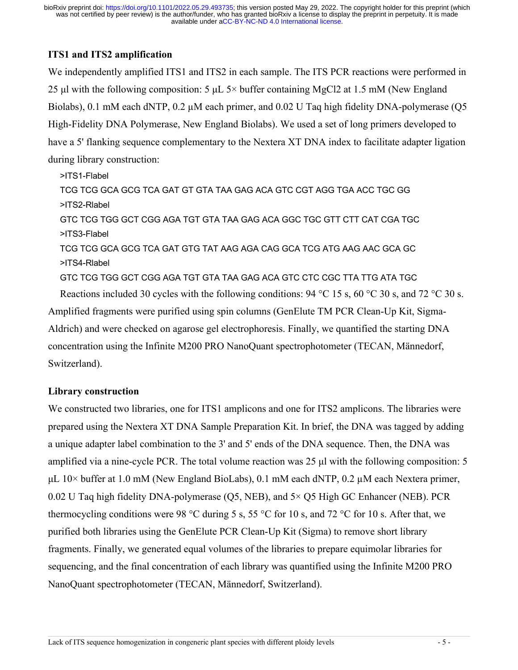### **ITS1 and ITS2 amplification**

We independently amplified ITS1 and ITS2 in each sample. The ITS PCR reactions were performed in 25 μl with the following composition: 5 μL 5× buffer containing MgCl2 at 1.5 mM (New England Biolabs), 0.1 mM each dNTP, 0.2  $\mu$ M each primer, and 0.02 U Taq high fidelity DNA-polymerase (Q5 High-Fidelity DNA Polymerase, New England Biolabs). We used a set of long primers developed to have a 5' flanking sequence complementary to the Nextera XT DNA index to facilitate adapter ligation during library construction:

>ITS1-Flabel TCG TCG GCA GCG TCA GAT GT GTA TAA GAG ACA GTC CGT AGG TGA ACC TGC GG >ITS2-Rlabel GTC TCG TGG GCT CGG AGA TGT GTA TAA GAG ACA GGC TGC GTT CTT CAT CGA TGC >ITS3-Flabel TCG TCG GCA GCG TCA GAT GTG TAT AAG AGA CAG GCA TCG ATG AAG AAC GCA GC >ITS4-Rlabel GTC TCG TGG GCT CGG AGA TGT GTA TAA GAG ACA GTC CTC CGC TTA TTG ATA TGC Reactions included 30 cycles with the following conditions:  $94 \text{ °C}$  15 s,  $60 \text{ °C}$  30 s, and 72  $\text{ °C}$  30 s.

Amplified fragments were purified using spin columns (GenElute TM PCR Clean-Up Kit, Sigma-Aldrich) and were checked on agarose gel electrophoresis. Finally, we quantified the starting DNA concentration using the Infinite M200 PRO NanoQuant spectrophotometer (TECAN, Männedorf, Switzerland).

### **Library construction**

We constructed two libraries, one for ITS1 amplicons and one for ITS2 amplicons. The libraries were prepared using the Nextera XT DNA Sample Preparation Kit. In brief, the DNA was tagged by adding a unique adapter label combination to the 3' and 5' ends of the DNA sequence. Then, the DNA was amplified via a nine-cycle PCR. The total volume reaction was 25 μl with the following composition: 5 μL  $10\times$  buffer at 1.0 mM (New England BioLabs), 0.1 mM each dNTP, 0.2 μM each Nextera primer, 0.02 U Taq high fidelity DNA-polymerase (Q5, NEB), and 5× Q5 High GC Enhancer (NEB). PCR thermocycling conditions were 98 °C during 5 s, 55 °C for 10 s, and 72 °C for 10 s. After that, we purified both libraries using the GenElute PCR Clean-Up Kit (Sigma) to remove short library fragments. Finally, we generated equal volumes of the libraries to prepare equimolar libraries for sequencing, and the final concentration of each library was quantified using the Infinite M200 PRO NanoQuant spectrophotometer (TECAN, Männedorf, Switzerland).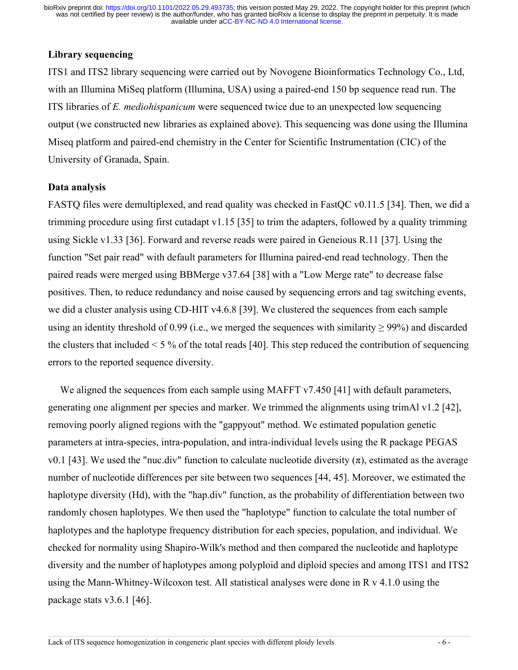#### **Library sequencing**

ITS1 and ITS2 library sequencing were carried out by Novogene Bioinformatics Technology Co., Ltd, with an Illumina MiSeq platform (Illumina, USA) using a paired-end 150 bp sequence read run. The ITS libraries of *E. mediohispanicum* were sequenced twice due to an unexpected low sequencing output (we constructed new libraries as explained above). This sequencing was done using the Illumina Miseq platform and paired-end chemistry in the Center for Scientific Instrumentation (CIC) of the University of Granada, Spain.

#### **Data analysis**

FASTQ files were demultiplexed, and read quality was checked in FastQC v0.11.5 [34]. Then, we did a trimming procedure using first cutadapt v1.15 [35] to trim the adapters, followed by a quality trimming using Sickle v1.33 [36]. Forward and reverse reads were paired in Geneious R.11 [37]. Using the function "Set pair read" with default parameters for Illumina paired-end read technology. Then the paired reads were merged using BBMerge v37.64 [38] with a "Low Merge rate" to decrease false positives. Then, to reduce redundancy and noise caused by sequencing errors and tag switching events, we did a cluster analysis using CD-HIT v4.6.8 [39]. We clustered the sequences from each sample using an identity threshold of 0.99 (i.e., we merged the sequences with similarity  $\geq$  99%) and discarded the clusters that included  $\leq 5\%$  of the total reads [40]. This step reduced the contribution of sequencing errors to the reported sequence diversity.

We aligned the sequences from each sample using MAFFT  $v7.450$  [41] with default parameters, generating one alignment per species and marker. We trimmed the alignments using trimAl v1.2 [42], removing poorly aligned regions with the "gappyout" method. We estimated population genetic parameters at intra-species, intra-population, and intra-individual levels using the R package PEGAS v0.1 [43]. We used the "nuc.div" function to calculate nucleotide diversity (π), estimated as the average number of nucleotide differences per site between two sequences [44, 45]. Moreover, we estimated the haplotype diversity (Hd), with the "hap.div" function, as the probability of differentiation between two randomly chosen haplotypes. We then used the "haplotype" function to calculate the total number of haplotypes and the haplotype frequency distribution for each species, population, and individual. We checked for normality using Shapiro-Wilk's method and then compared the nucleotide and haplotype diversity and the number of haplotypes among polyploid and diploid species and among ITS1 and ITS2 using the Mann-Whitney-Wilcoxon test. All statistical analyses were done in R v 4.1.0 using the package stats v3.6.1 [46].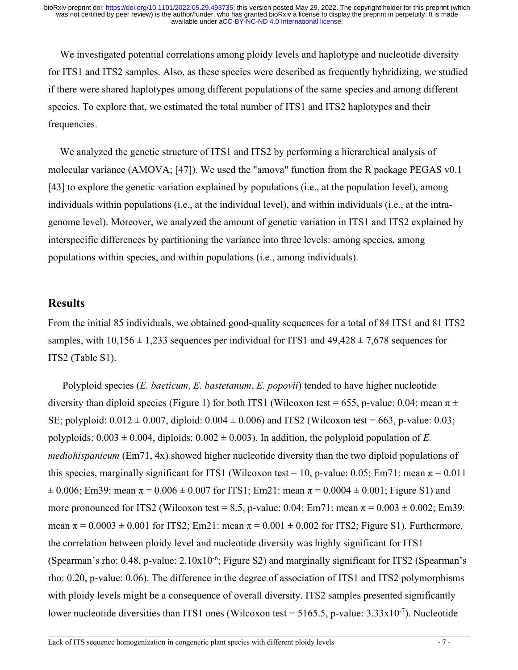We investigated potential correlations among ploidy levels and haplotype and nucleotide diversity for ITS1 and ITS2 samples. Also, as these species were described as frequently hybridizing, we studied if there were shared haplotypes among different populations of the same species and among different species. To explore that, we estimated the total number of ITS1 and ITS2 haplotypes and their frequencies.

We analyzed the genetic structure of ITS1 and ITS2 by performing a hierarchical analysis of molecular variance (AMOVA; [47]). We used the "amova" function from the R package PEGAS v0.1 [43] to explore the genetic variation explained by populations (i.e., at the population level), among individuals within populations (i.e., at the individual level), and within individuals (i.e., at the intragenome level). Moreover, we analyzed the amount of genetic variation in ITS1 and ITS2 explained by interspecific differences by partitioning the variance into three levels: among species, among populations within species, and within populations (i.e., among individuals).

### **Results**

From the initial 85 individuals, we obtained good-quality sequences for a total of 84 ITS1 and 81 ITS2 samples, with  $10.156 \pm 1.233$  sequences per individual for ITS1 and  $49.428 \pm 7.678$  sequences for ITS2 (Table S1).

Polyploid species (*E. baeticum*, *E. bastetanum*, *E. popovii*) tended to have higher nucleotide diversity than diploid species (Figure 1) for both ITS1 (Wilcoxon test = 655, p-value: 0.04; mean  $\pi \pm$ SE; polyploid:  $0.012 \pm 0.007$ , diploid:  $0.004 \pm 0.006$ ) and ITS2 (Wilcoxon test = 663, p-value: 0.03; polyploids:  $0.003 \pm 0.004$ , diploids:  $0.002 \pm 0.003$ ). In addition, the polyploid population of *E*. *mediohispanicum* (Em71, 4x) showed higher nucleotide diversity than the two diploid populations of this species, marginally significant for ITS1 (Wilcoxon test = 10, p-value: 0.05; Em71: mean  $\pi$  = 0.011  $\pm 0.006$ ; Em39: mean  $\pi = 0.006 \pm 0.007$  for ITS1; Em21: mean  $\pi = 0.0004 \pm 0.001$ ; Figure S1) and more pronounced for ITS2 (Wilcoxon test = 8.5, p-value: 0.04; Em71: mean  $\pi$  = 0.003  $\pm$  0.002; Em39: mean  $\pi = 0.0003 \pm 0.001$  for ITS2; Em21: mean  $\pi = 0.001 \pm 0.002$  for ITS2; Figure S1). Furthermore, the correlation between ploidy level and nucleotide diversity was highly significant for ITS1 (Spearman's rho: 0.48, p-value: 2.10x10<sup>-6</sup>; Figure S2) and marginally significant for ITS2 (Spearman's rho: 0.20, p-value: 0.06). The difference in the degree of association of ITS1 and ITS2 polymorphisms with ploidy levels might be a consequence of overall diversity. ITS2 samples presented significantly lower nucleotide diversities than ITS1 ones (Wilcoxon test = 5165.5, p-value: 3.33x10<sup>-7</sup>). Nucleotide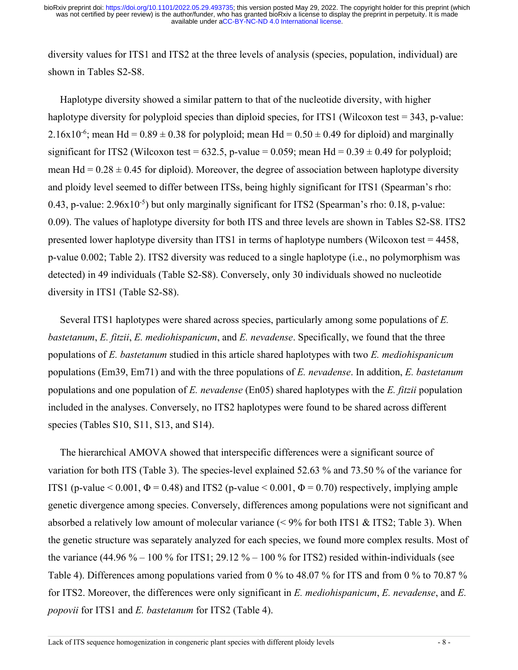diversity values for ITS1 and ITS2 at the three levels of analysis (species, population, individual) are shown in Tables S2-S8.

Haplotype diversity showed a similar pattern to that of the nucleotide diversity, with higher haplotype diversity for polyploid species than diploid species, for ITS1 (Wilcoxon test = 343, p-value: 2.16x10<sup>-6</sup>; mean Hd =  $0.89 \pm 0.38$  for polyploid; mean Hd =  $0.50 \pm 0.49$  for diploid) and marginally significant for ITS2 (Wilcoxon test = 632.5, p-value = 0.059; mean Hd =  $0.39 \pm 0.49$  for polyploid; mean Hd =  $0.28 \pm 0.45$  for diploid). Moreover, the degree of association between haplotype diversity and ploidy level seemed to differ between ITSs, being highly significant for ITS1 (Spearman's rho: 0.43, p-value: 2.96x10<sup>-5</sup>) but only marginally significant for ITS2 (Spearman's rho: 0.18, p-value: 0.09). The values of haplotype diversity for both ITS and three levels are shown in Tables S2-S8. ITS2 presented lower haplotype diversity than ITS1 in terms of haplotype numbers (Wilcoxon test = 4458, p-value 0.002; Table 2). ITS2 diversity was reduced to a single haplotype (i.e., no polymorphism was detected) in 49 individuals (Table S2-S8). Conversely, only 30 individuals showed no nucleotide diversity in ITS1 (Table S2-S8).

Several ITS1 haplotypes were shared across species, particularly among some populations of *E. bastetanum*, *E. fitzii*, *E. mediohispanicum*, and *E. nevadense*. Specifically, we found that the three populations of *E. bastetanum* studied in this article shared haplotypes with two *E. mediohispanicum* populations (Em39, Em71) and with the three populations of *E. nevadense*. In addition, *E. bastetanum* populations and one population of *E. nevadense* (En05) shared haplotypes with the *E. fitzii* population included in the analyses. Conversely, no ITS2 haplotypes were found to be shared across different species (Tables S10, S11, S13, and S14).

The hierarchical AMOVA showed that interspecific differences were a significant source of variation for both ITS (Table 3). The species-level explained 52.63 % and 73.50 % of the variance for ITS1 (p-value  $\leq 0.001$ ,  $\Phi = 0.48$ ) and ITS2 (p-value  $\leq 0.001$ ,  $\Phi = 0.70$ ) respectively, implying ample genetic divergence among species. Conversely, differences among populations were not significant and absorbed a relatively low amount of molecular variance  $(< 9\%$  for both ITS1 & ITS2; Table 3). When the genetic structure was separately analyzed for each species, we found more complex results. Most of the variance  $(44.96\% - 100\%$  for ITS1; 29.12 % – 100 % for ITS2) resided within-individuals (see Table 4). Differences among populations varied from 0 % to 48.07 % for ITS and from 0 % to 70.87 % for ITS2. Moreover, the differences were only significant in *E. mediohispanicum*, *E. nevadense*, and *E. popovii* for ITS1 and *E. bastetanum* for ITS2 (Table 4).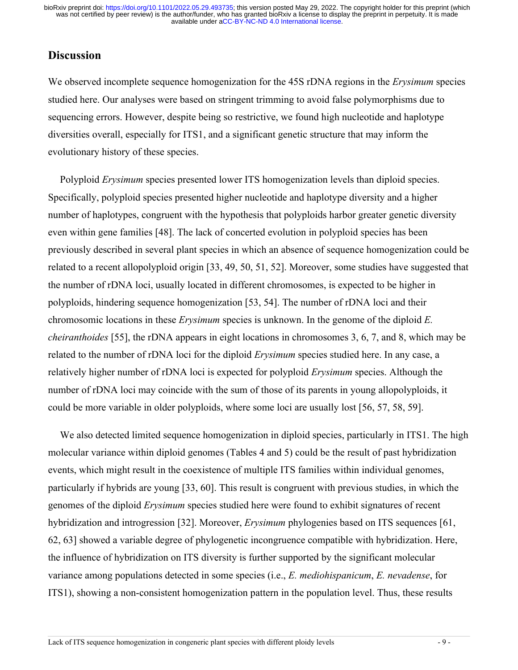# **Discussion**

We observed incomplete sequence homogenization for the 45S rDNA regions in the *Erysimum* species studied here. Our analyses were based on stringent trimming to avoid false polymorphisms due to sequencing errors. However, despite being so restrictive, we found high nucleotide and haplotype diversities overall, especially for ITS1, and a significant genetic structure that may inform the evolutionary history of these species.

Polyploid *Erysimum* species presented lower ITS homogenization levels than diploid species. Specifically, polyploid species presented higher nucleotide and haplotype diversity and a higher number of haplotypes, congruent with the hypothesis that polyploids harbor greater genetic diversity even within gene families [48]. The lack of concerted evolution in polyploid species has been previously described in several plant species in which an absence of sequence homogenization could be related to a recent allopolyploid origin [33, 49, 50, 51, 52]. Moreover, some studies have suggested that the number of rDNA loci, usually located in different chromosomes, is expected to be higher in polyploids, hindering sequence homogenization [53, 54]. The number of rDNA loci and their chromosomic locations in these *Erysimum* species is unknown. In the genome of the diploid *E. cheiranthoides* [55], the rDNA appears in eight locations in chromosomes 3, 6, 7, and 8, which may be related to the number of rDNA loci for the diploid *Erysimum* species studied here. In any case, a relatively higher number of rDNA loci is expected for polyploid *Erysimum* species. Although the number of rDNA loci may coincide with the sum of those of its parents in young allopolyploids, it could be more variable in older polyploids, where some loci are usually lost [56, 57, 58, 59].

We also detected limited sequence homogenization in diploid species, particularly in ITS1. The high molecular variance within diploid genomes (Tables 4 and 5) could be the result of past hybridization events, which might result in the coexistence of multiple ITS families within individual genomes, particularly if hybrids are young [33, 60]. This result is congruent with previous studies, in which the genomes of the diploid *Erysimum* species studied here were found to exhibit signatures of recent hybridization and introgression [32]. Moreover, *Erysimum* phylogenies based on ITS sequences [61, 62, 63] showed a variable degree of phylogenetic incongruence compatible with hybridization. Here, the influence of hybridization on ITS diversity is further supported by the significant molecular variance among populations detected in some species (i.e., *E. mediohispanicum*, *E. nevadense*, for ITS1), showing a non-consistent homogenization pattern in the population level. Thus, these results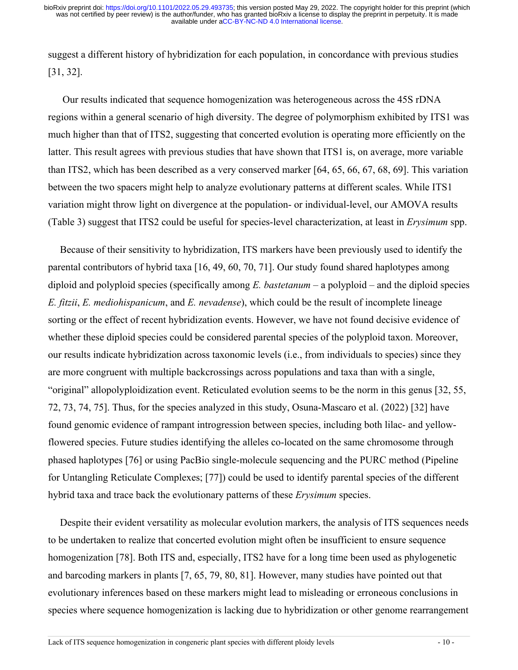suggest a different history of hybridization for each population, in concordance with previous studies [31, 32].

Our results indicated that sequence homogenization was heterogeneous across the 45S rDNA regions within a general scenario of high diversity. The degree of polymorphism exhibited by ITS1 was much higher than that of ITS2, suggesting that concerted evolution is operating more efficiently on the latter. This result agrees with previous studies that have shown that ITS1 is, on average, more variable than ITS2, which has been described as a very conserved marker [64, 65, 66, 67, 68, 69]. This variation between the two spacers might help to analyze evolutionary patterns at different scales. While ITS1 variation might throw light on divergence at the population- or individual-level, our AMOVA results (Table 3) suggest that ITS2 could be useful for species-level characterization, at least in *Erysimum* spp.

Because of their sensitivity to hybridization, ITS markers have been previously used to identify the parental contributors of hybrid taxa [16, 49, 60, 70, 71]. Our study found shared haplotypes among diploid and polyploid species (specifically among *E. bastetanum* – a polyploid – and the diploid species *E. fitzii*, *E. mediohispanicum*, and *E. nevadense*), which could be the result of incomplete lineage sorting or the effect of recent hybridization events. However, we have not found decisive evidence of whether these diploid species could be considered parental species of the polyploid taxon. Moreover, our results indicate hybridization across taxonomic levels (i.e., from individuals to species) since they are more congruent with multiple backcrossings across populations and taxa than with a single, "original" allopolyploidization event. Reticulated evolution seems to be the norm in this genus [32, 55, 72, 73, 74, 75]. Thus, for the species analyzed in this study, Osuna-Mascaro et al. (2022) [32] have found genomic evidence of rampant introgression between species, including both lilac- and yellowflowered species. Future studies identifying the alleles co-located on the same chromosome through phased haplotypes [76] or using PacBio single-molecule sequencing and the PURC method (Pipeline for Untangling Reticulate Complexes; [77]) could be used to identify parental species of the different hybrid taxa and trace back the evolutionary patterns of these *Erysimum* species.

Despite their evident versatility as molecular evolution markers, the analysis of ITS sequences needs to be undertaken to realize that concerted evolution might often be insufficient to ensure sequence homogenization [78]. Both ITS and, especially, ITS2 have for a long time been used as phylogenetic and barcoding markers in plants [7, 65, 79, 80, 81]. However, many studies have pointed out that evolutionary inferences based on these markers might lead to misleading or erroneous conclusions in species where sequence homogenization is lacking due to hybridization or other genome rearrangement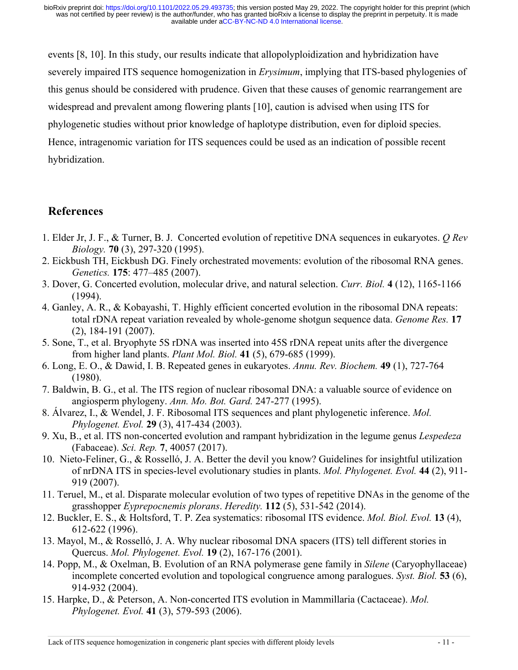events [8, 10]. In this study, our results indicate that allopolyploidization and hybridization have severely impaired ITS sequence homogenization in *Erysimum*, implying that ITS-based phylogenies of this genus should be considered with prudence. Given that these causes of genomic rearrangement are widespread and prevalent among flowering plants [10], caution is advised when using ITS for phylogenetic studies without prior knowledge of haplotype distribution, even for diploid species. Hence, intragenomic variation for ITS sequences could be used as an indication of possible recent hybridization.

# **References**

- 1. Elder Jr, J. F., & Turner, B. J. Concerted evolution of repetitive DNA sequences in eukaryotes. *Q Rev Biology.* **70** (3), 297-320 (1995).
- 2. Eickbush TH, Eickbush DG. Finely orchestrated movements: evolution of the ribosomal RNA genes. *Genetics.* **175**: 477–485 (2007).
- 3. Dover, G. Concerted evolution, molecular drive, and natural selection. *Curr. Biol.* **4** (12), 1165-1166 (1994).
- 4. Ganley, A. R., & Kobayashi, T. Highly efficient concerted evolution in the ribosomal DNA repeats: total rDNA repeat variation revealed by whole-genome shotgun sequence data. *Genome Res.* **17** (2), 184-191 (2007).
- 5. Sone, T., et al. Bryophyte 5S rDNA was inserted into 45S rDNA repeat units after the divergence from higher land plants. *Plant Mol. Biol.* **41** (5), 679-685 (1999).
- 6. Long, E. O., & Dawid, I. B. Repeated genes in eukaryotes. *Annu. Rev. Biochem.* **49** (1), 727-764 (1980).
- 7. Baldwin, B. G., et al. The ITS region of nuclear ribosomal DNA: a valuable source of evidence on angiosperm phylogeny. *Ann. Mo. Bot. Gard.* 247-277 (1995).
- 8. Álvarez, I., & Wendel, J. F. Ribosomal ITS sequences and plant phylogenetic inference. *Mol. Phylogenet. Evol.* **29** (3), 417-434 (2003).
- 9. Xu, B., et al. ITS non-concerted evolution and rampant hybridization in the legume genus *Lespedeza* (Fabaceae). *Sci. Rep.* **7**, 40057 (2017).
- 10. Nieto-Feliner, G., & Rosselló, J. A. Better the devil you know? Guidelines for insightful utilization of nrDNA ITS in species-level evolutionary studies in plants. *Mol. Phylogenet. Evol.* **44** (2), 911- 919 (2007).
- 11. Teruel, M., et al. Disparate molecular evolution of two types of repetitive DNAs in the genome of the grasshopper *Eyprepocnemis plorans*. *Heredity.* **112** (5), 531-542 (2014).
- 12. Buckler, E. S., & Holtsford, T. P. Zea systematics: ribosomal ITS evidence. *Mol. Biol. Evol.* **13** (4), 612-622 (1996).
- 13. Mayol, M., & Rosselló, J. A. Why nuclear ribosomal DNA spacers (ITS) tell different stories in Quercus. *Mol. Phylogenet. Evol.* **19** (2), 167-176 (2001).
- 14. Popp, M., & Oxelman, B. Evolution of an RNA polymerase gene family in *Silene* (Caryophyllaceae) incomplete concerted evolution and topological congruence among paralogues. *Syst. Biol.* **53** (6), 914-932 (2004).
- 15. Harpke, D., & Peterson, A. Non-concerted ITS evolution in Mammillaria (Cactaceae). *Mol. Phylogenet. Evol.* **41** (3), 579-593 (2006).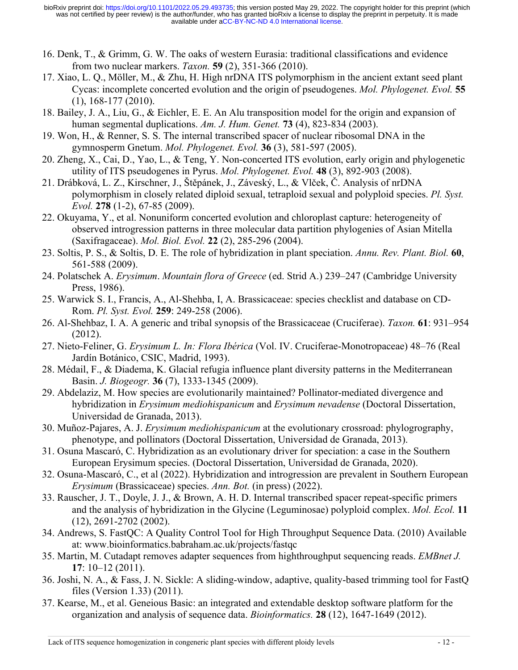- 16. Denk, T., & Grimm, G. W. The oaks of western Eurasia: traditional classifications and evidence from two nuclear markers. *Taxon.* **59** (2), 351-366 (2010).
- 17. Xiao, L. Q., Möller, M., & Zhu, H. High nrDNA ITS polymorphism in the ancient extant seed plant Cycas: incomplete concerted evolution and the origin of pseudogenes. *Mol. Phylogenet. Evol.* **55** (1), 168-177 (2010).
- 18. Bailey, J. A., Liu, G., & Eichler, E. E. An Alu transposition model for the origin and expansion of human segmental duplications. *Am. J. Hum. Genet.* **73** (4), 823-834 (2003).
- 19. Won, H., & Renner, S. S. The internal transcribed spacer of nuclear ribosomal DNA in the gymnosperm Gnetum. *Mol. Phylogenet. Evol.* **36** (3), 581-597 (2005).
- 20. Zheng, X., Cai, D., Yao, L., & Teng, Y. Non-concerted ITS evolution, early origin and phylogenetic utility of ITS pseudogenes in Pyrus. *Mol. Phylogenet. Evol.* **48** (3), 892-903 (2008).
- 21. Drábková, L. Z., Kirschner, J., Štěpánek, J., Záveský, L., & Vlček, Č. Analysis of nrDNA polymorphism in closely related diploid sexual, tetraploid sexual and polyploid species. *Pl. Syst. Evol.* **278** (1-2), 67-85 (2009).
- 22. Okuyama, Y., et al. Nonuniform concerted evolution and chloroplast capture: heterogeneity of observed introgression patterns in three molecular data partition phylogenies of Asian Mitella (Saxifragaceae). *Mol. Biol. Evol.* **22** (2), 285-296 (2004).
- 23. Soltis, P. S., & Soltis, D. E. The role of hybridization in plant speciation. *Annu. Rev. Plant. Biol.* **60**, 561-588 (2009).
- 24. Polatschek A. *Erysimum*. *Mountain flora of Greece* (ed. Strid A.) 239–247 (Cambridge University Press, 1986).
- 25. Warwick S. I., Francis, A., Al-Shehba, I, A. Brassicaceae: species checklist and database on CD-Rom. *Pl. Syst. Evol.* **259**: 249-258 (2006).
- 26. Al-Shehbaz, I. A. A generic and tribal synopsis of the Brassicaceae (Cruciferae). *Taxon.* **61**: 931–954 (2012).
- 27. Nieto-Feliner, G. *Erysimum L. In: Flora Ibérica* (Vol. IV. Cruciferae-Monotropaceae) 48–76 (Real Jardín Botánico, CSIC, Madrid, 1993).
- 28. Médail, F., & Diadema, K. Glacial refugia influence plant diversity patterns in the Mediterranean Basin. *J. Biogeogr.* **36** (7), 1333-1345 (2009).
- 29. Abdelaziz, M. How species are evolutionarily maintained? Pollinator-mediated divergence and hybridization in *Erysimum mediohispanicum* and *Erysimum nevadense* (Doctoral Dissertation, Universidad de Granada, 2013).
- 30. Muñoz-Pajares, A. J. *Erysimum mediohispanicum* at the evolutionary crossroad: phylogrography, phenotype, and pollinators (Doctoral Dissertation, Universidad de Granada, 2013).
- 31. Osuna Mascaró, C. Hybridization as an evolutionary driver for speciation: a case in the Southern European Erysimum species. (Doctoral Dissertation, Universidad de Granada, 2020).
- 32. Osuna-Mascaró, C., et al (2022). Hybridization and introgression are prevalent in Southern European *Erysimum* (Brassicaceae) species. *Ann. Bot.* (in press) (2022).
- 33. Rauscher, J. T., Doyle, J. J., & Brown, A. H. D. Internal transcribed spacer repeat‐specific primers and the analysis of hybridization in the Glycine (Leguminosae) polyploid complex. *Mol. Ecol.* **11** (12), 2691-2702 (2002).
- 34. Andrews, S. FastQC: A Quality Control Tool for High Throughput Sequence Data. (2010) Available at: www.bioinformatics.babraham.ac.uk/projects/fastqc
- 35. Martin, M. Cutadapt removes adapter sequences from highthroughput sequencing reads. *EMBnet J.*  **17**: 10–12 (2011).
- 36. Joshi, N. A., & Fass, J. N. Sickle: A sliding-window, adaptive, quality-based trimming tool for FastQ files (Version 1.33) (2011).
- 37. Kearse, M., et al. Geneious Basic: an integrated and extendable desktop software platform for the organization and analysis of sequence data. *Bioinformatics.* **28** (12), 1647-1649 (2012).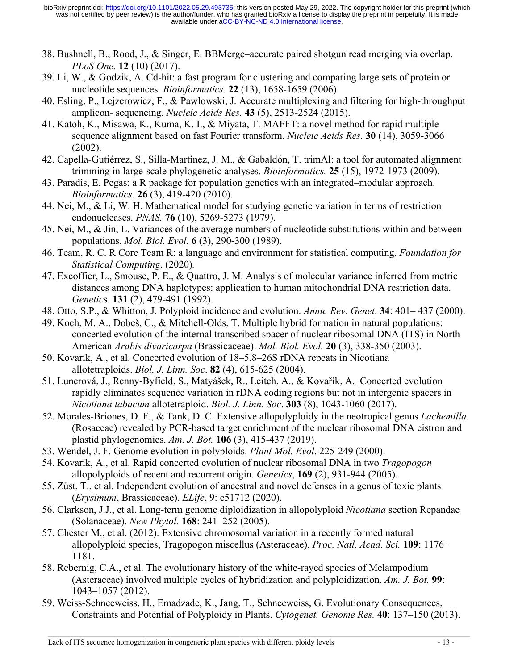- 38. Bushnell, B., Rood, J., & Singer, E. BBMerge–accurate paired shotgun read merging via overlap. *PLoS One.* **12** (10) (2017).
- 39. Li, W., & Godzik, A. Cd-hit: a fast program for clustering and comparing large sets of protein or nucleotide sequences. *Bioinformatics.* **22** (13), 1658-1659 (2006).
- 40. Esling, P., Lejzerowicz, F., & Pawlowski, J. Accurate multiplexing and filtering for high-throughput amplicon- sequencing. *Nucleic Acids Res.* **43** (5), 2513-2524 (2015).
- 41. Katoh, K., Misawa, K., Kuma, K. I., & Miyata, T. MAFFT: a novel method for rapid multiple sequence alignment based on fast Fourier transform. *Nucleic Acids Res.* **30** (14), 3059-3066 (2002).
- 42. Capella-Gutiérrez, S., Silla-Martínez, J. M., & Gabaldón, T. trimAl: a tool for automated alignment trimming in large-scale phylogenetic analyses. *Bioinformatics.* **25** (15), 1972-1973 (2009).
- 43. Paradis, E. Pegas: a R package for population genetics with an integrated–modular approach. *Bioinformatics.* **26** (3), 419-420 (2010).
- 44. Nei, M., & Li, W. H. Mathematical model for studying genetic variation in terms of restriction endonucleases. *PNAS.* **76** (10), 5269-5273 (1979).
- 45. Nei, M., & Jin, L. Variances of the average numbers of nucleotide substitutions within and between populations. *Mol. Biol. Evol.* **6** (3), 290-300 (1989).
- 46. Team, R. C. R Core Team R: a language and environment for statistical computing. *Foundation for Statistical Computing*. (2020)*.*
- 47. Excoffier, L., Smouse, P. E., & Quattro, J. M. Analysis of molecular variance inferred from metric distances among DNA haplotypes: application to human mitochondrial DNA restriction data. *Genetic*s. **131** (2), 479-491 (1992).
- 48. Otto, S.P., & Whitton, J. Polyploid incidence and evolution. *Annu. Rev. Genet*. **34**: 401– 437 (2000).
- 49. Koch, M. A., Dobeš, C., & Mitchell-Olds, T. Multiple hybrid formation in natural populations: concerted evolution of the internal transcribed spacer of nuclear ribosomal DNA (ITS) in North American *Arabis divaricarpa* (Brassicaceae). *Mol. Biol. Evol.* **20** (3), 338-350 (2003).
- 50. Kovarik, A., et al. Concerted evolution of 18–5.8–26S rDNA repeats in Nicotiana allotetraploids. *Biol. J. Linn. Soc*. **82** (4), 615-625 (2004).
- 51. Lunerová, J., Renny-Byfield, S., Matyášek, R., Leitch, A., & Kovařík, A. Concerted evolution rapidly eliminates sequence variation in rDNA coding regions but not in intergenic spacers in *Nicotiana tabacum* allotetraploid. *Biol. J. Linn. Soc*. **303** (8), 1043-1060 (2017).
- 52. Morales‐Briones, D. F., & Tank, D. C. Extensive allopolyploidy in the neotropical genus *Lachemilla* (Rosaceae) revealed by PCR‐based target enrichment of the nuclear ribosomal DNA cistron and plastid phylogenomics. *Am. J. Bot.* **106** (3), 415-437 (2019).
- 53. Wendel, J. F. Genome evolution in polyploids. *Plant Mol. Evol*. 225-249 (2000).
- 54. Kovarik, A., et al. Rapid concerted evolution of nuclear ribosomal DNA in two *Tragopogon* allopolyploids of recent and recurrent origin. *Genetics*, **169** (2), 931-944 (2005).
- 55. Züst, T., et al. Independent evolution of ancestral and novel defenses in a genus of toxic plants (*Erysimum*, Brassicaceae). *ELife*, **9**: e51712 (2020).
- 56. Clarkson, J.J., et al. Long-term genome diploidization in allopolyploid *Nicotiana* section Repandae (Solanaceae). *New Phytol.* **168**: 241–252 (2005).
- 57. Chester M., et al. (2012). Extensive chromosomal variation in a recently formed natural allopolyploid species, Tragopogon miscellus (Asteraceae). *Proc. Natl. Acad. Sci.* **109**: 1176– 1181.
- 58. Rebernig, C.A., et al. The evolutionary history of the white-rayed species of Melampodium (Asteraceae) involved multiple cycles of hybridization and polyploidization. *Am. J. Bot.* **99**: 1043–1057 (2012).
- 59. Weiss-Schneeweiss, H., Emadzade, K., Jang, T., Schneeweiss, G. Evolutionary Consequences, Constraints and Potential of Polyploidy in Plants. *Cytogenet. Genome Res.* **40**: 137–150 (2013).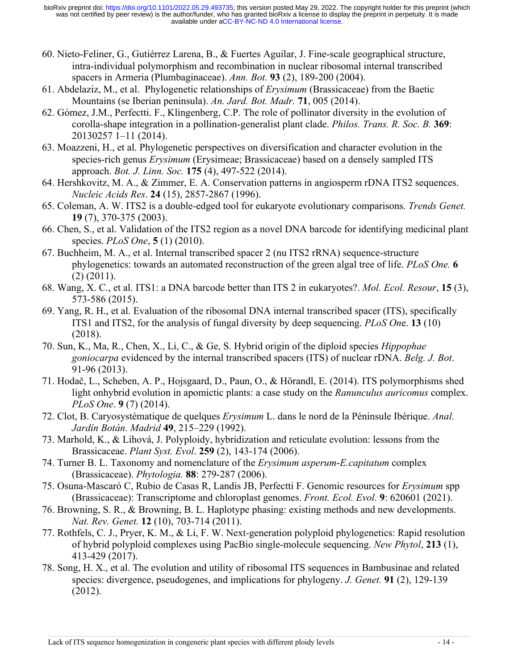- 60. Nieto-Feliner, G., Gutiérrez Larena, B., & Fuertes Aguilar, J. Fine‐scale geographical structure, intra‐individual polymorphism and recombination in nuclear ribosomal internal transcribed spacers in Armeria (Plumbaginaceae). *Ann. Bot.* **93** (2), 189-200 (2004).
- 61. Abdelaziz, M., et al. Phylogenetic relationships of *Erysimum* (Brassicaceae) from the Baetic Mountains (se Iberian peninsula). *An. Jard. Bot. Madr.* **71**, 005 (2014).
- 62. Gómez, J.M., Perfectti. F., Klingenberg, C.P. The role of pollinator diversity in the evolution of corolla-shape integration in a pollination-generalist plant clade. *Philos. Trans. R. Soc. B.* **369**: 20130257 1–11 (2014).
- 63. Moazzeni, H., et al. Phylogenetic perspectives on diversification and character evolution in the species-rich genus *Erysimum* (Erysimeae; Brassicaceae) based on a densely sampled ITS approach. *Bot. J. Linn. Soc.* **175** (4), 497-522 (2014).
- 64. Hershkovitz, M. A., & Zimmer, E. A. Conservation patterns in angiosperm rDNA ITS2 sequences. *Nucleic Acids Res*. **24** (15), 2857-2867 (1996).
- 65. Coleman, A. W. ITS2 is a double-edged tool for eukaryote evolutionary comparisons. *Trends Genet.* **19** (7), 370-375 (2003).
- 66. Chen, S., et al. Validation of the ITS2 region as a novel DNA barcode for identifying medicinal plant species. *PLoS One*, **5** (1) (2010).
- 67. Buchheim, M. A., et al. Internal transcribed spacer 2 (nu ITS2 rRNA) sequence-structure phylogenetics: towards an automated reconstruction of the green algal tree of life. *PLoS One.* **6**  (2) (2011).
- 68. Wang, X. C., et al. ITS1: a DNA barcode better than ITS 2 in eukaryotes?. *Mol. Ecol. Resour*, **15** (3), 573-586 (2015).
- 69. Yang, R. H., et al. Evaluation of the ribosomal DNA internal transcribed spacer (ITS), specifically ITS1 and ITS2, for the analysis of fungal diversity by deep sequencing. *PLoS On*e. **13** (10) (2018).
- 70. Sun, K., Ma, R., Chen, X., Li, C., & Ge, S. Hybrid origin of the diploid species *Hippophae goniocarpa* evidenced by the internal transcribed spacers (ITS) of nuclear rDNA. *Belg. J. Bot*. 91-96 (2013).
- 71. Hodač, L., Scheben, A. P., Hojsgaard, D., Paun, O., & Hörandl, E. (2014). ITS polymorphisms shed light onhybrid evolution in apomictic plants: a case study on the *Ranunculus auricomus* complex. *PLoS One*. **9** (7) (2014).
- 72. Clot, B. Caryosystématique de quelques *Erysimum* L. dans le nord de la Péninsule Ibérique. *Anal. Jardín Botán. Madrid* **49**, 215–229 (1992).
- 73. Marhold, K., & Lihová, J. Polyploidy, hybridization and reticulate evolution: lessons from the Brassicaceae. *Plant Syst. Evol*. **259** (2), 143-174 (2006).
- 74. Turner B. L. Taxonomy and nomenclature of the *Erysimum asperum*-*E.capitatum* complex (Brassicaceae). *Phytologia.* **88**: 279-287 (2006).
- 75. Osuna-Mascaró C, Rubio de Casas R, Landis JB, Perfectti F. Genomic resources for *Erysimum* spp (Brassicaceae): Transcriptome and chloroplast genomes. *Front. Ecol. Evol.* **9**: 620601 (2021).
- 76. Browning, S. R., & Browning, B. L. Haplotype phasing: existing methods and new developments. *Nat. Rev. Genet.* **12** (10), 703-714 (2011).
- 77. Rothfels, C. J., Pryer, K. M., & Li, F. W. Next‐generation polyploid phylogenetics: Rapid resolution of hybrid polyploid complexes using PacBio single‐molecule sequencing. *New Phytol*, **213** (1), 413-429 (2017).
- 78. Song, H. X., et al. The evolution and utility of ribosomal ITS sequences in Bambusinae and related species: divergence, pseudogenes, and implications for phylogeny. *J. Genet.* **91** (2), 129-139 (2012).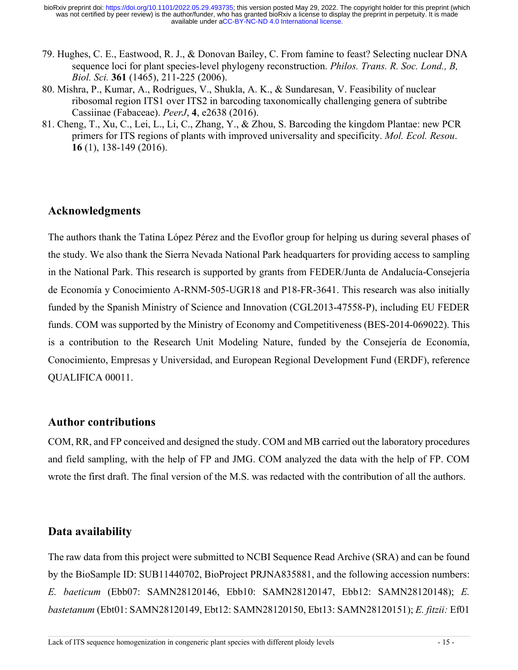- 79. Hughes, C. E., Eastwood, R. J., & Donovan Bailey, C. From famine to feast? Selecting nuclear DNA sequence loci for plant species-level phylogeny reconstruction. *Philos. Trans. R. Soc. Lond., B, Biol. Sci.* **361** (1465), 211-225 (2006).
- 80. Mishra, P., Kumar, A., Rodrigues, V., Shukla, A. K., & Sundaresan, V. Feasibility of nuclear ribosomal region ITS1 over ITS2 in barcoding taxonomically challenging genera of subtribe Cassiinae (Fabaceae). *PeerJ*, **4**, e2638 (2016).
- 81. Cheng, T., Xu, C., Lei, L., Li, C., Zhang, Y., & Zhou, S. Barcoding the kingdom Plantae: new PCR primers for ITS regions of plants with improved universality and specificity. *Mol. Ecol. Resou*. **16** (1), 138-149 (2016).

# **Acknowledgments**

The authors thank the Tatina López Pérez and the Evoflor group for helping us during several phases of the study. We also thank the Sierra Nevada National Park headquarters for providing access to sampling in the National Park. This research is supported by grants from FEDER/Junta de Andalucía-Consejería de Economía y Conocimiento A-RNM-505-UGR18 and P18-FR-3641. This research was also initially funded by the Spanish Ministry of Science and Innovation (CGL2013-47558-P), including EU FEDER funds. COM was supported by the Ministry of Economy and Competitiveness (BES-2014-069022). This is a contribution to the Research Unit Modeling Nature, funded by the Consejería de Economía, Conocimiento, Empresas y Universidad, and European Regional Development Fund (ERDF), reference QUALIFICA 00011.

### **Author contributions**

COM, RR, and FP conceived and designed the study. COM and MB carried out the laboratory procedures and field sampling, with the help of FP and JMG. COM analyzed the data with the help of FP. COM wrote the first draft. The final version of the M.S. was redacted with the contribution of all the authors.

# **Data availability**

The raw data from this project were submitted to NCBI Sequence Read Archive (SRA) and can be found by the BioSample ID: SUB11440702, BioProject PRJNA835881, and the following accession numbers: *E. baeticum* (Ebb07: SAMN28120146, Ebb10: SAMN28120147, Ebb12: SAMN28120148); *E. bastetanum* (Ebt01: SAMN28120149, Ebt12: SAMN28120150, Ebt13: SAMN28120151); *E. fitzii:* Ef01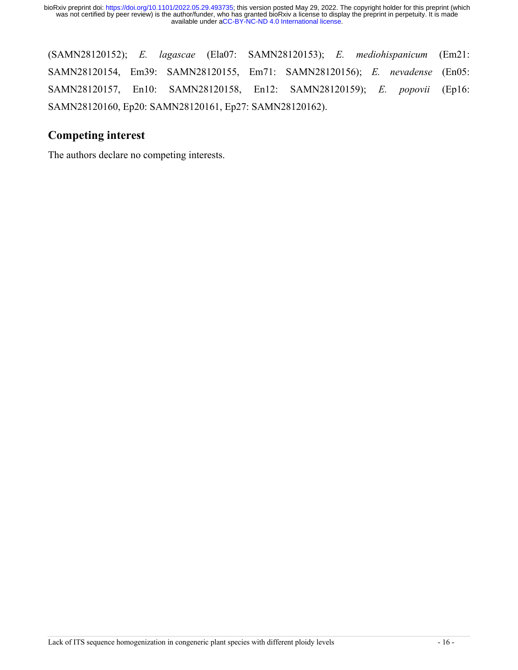(SAMN28120152); *E. lagascae* (Ela07: SAMN28120153); *E. mediohispanicum* (Em21: SAMN28120154, Em39: SAMN28120155, Em71: SAMN28120156); *E. nevadense* (En05: SAMN28120157, En10: SAMN28120158, En12: SAMN28120159); *E. popovii* (Ep16: SAMN28120160, Ep20: SAMN28120161, Ep27: SAMN28120162).

# **Competing interest**

The authors declare no competing interests.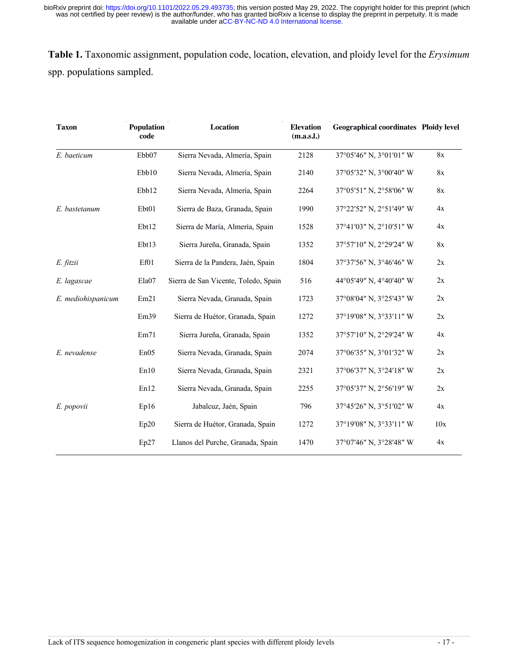**Table 1.** Taxonomic assignment, population code, location, elevation, and ploidy level for the *Erysimum* spp. populations sampled.

| Population<br><b>Taxon</b><br>code |       | <b>Location</b>                      | <b>Elevation</b><br>(m.a.s.l.) | <b>Geographical coordinates Ploidy level</b> |     |  |
|------------------------------------|-------|--------------------------------------|--------------------------------|----------------------------------------------|-----|--|
| E. baeticum                        | Ebb07 | Sierra Nevada, Almería, Spain        | 2128                           | 37°05'46" N, 3°01'01" W                      | 8x  |  |
|                                    | Ebb10 | Sierra Nevada, Almería, Spain        | 2140                           | 37°05'32" N, 3°00'40" W                      | 8x  |  |
|                                    | Ebb12 | Sierra Nevada, Almería, Spain        | 2264                           | 37°05'51" N, 2°58'06" W                      | 8x  |  |
| E. bastetanum                      | Ebt01 | Sierra de Baza, Granada, Spain       | 1990                           | 37°22'52" N, 2°51'49" W                      | 4x  |  |
|                                    | Ebt12 | Sierra de María, Almería, Spain      | 1528                           | 37°41'03" N, 2°10'51" W                      | 4x  |  |
|                                    | Ebt13 | Sierra Jureña, Granada, Spain        | 1352                           | 37°57'10" N, 2°29'24" W                      | 8x  |  |
| E. fitzii                          | Ef01  | Sierra de la Pandera, Jaén, Spain    | 1804                           | 37°37'56" N, 3°46'46" W                      | 2x  |  |
| E. lagascae                        | Ela07 | Sierra de San Vicente, Toledo, Spain | 516                            | 44°05'49" N, 4°40'40" W                      | 2x  |  |
| E. mediohispanicum                 | Em21  | Sierra Nevada, Granada, Spain        | 1723                           | 37°08′04″ N, 3°25′43″ W                      | 2x  |  |
|                                    | Em39  | Sierra de Huétor, Granada, Spain     | 1272                           | 37°19'08" N, 3°33'11" W                      | 2x  |  |
|                                    | Em71  | Sierra Jureña, Granada, Spain        | 1352                           | 37°57'10" N, 2°29'24" W                      | 4x  |  |
| E. nevadense                       | En05  | Sierra Nevada, Granada, Spain        | 2074                           | 37°06'35" N, 3°01'32" W                      | 2x  |  |
|                                    | En10  | Sierra Nevada, Granada, Spain        | 2321                           | 37°06'37" N, 3°24'18" W                      | 2x  |  |
|                                    | En12  | Sierra Nevada, Granada, Spain        | 2255                           | 37°05'37" N, 2°56'19" W                      | 2x  |  |
| E. popovii                         | Ep16  | Jabalcuz, Jaén, Spain                | 796                            | 37°45'26" N, 3°51'02" W                      | 4x  |  |
|                                    | Ep20  | Sierra de Huétor, Granada, Spain     | 1272                           | 37°19'08" N, 3°33'11" W                      | 10x |  |
|                                    | Ep27  | Llanos del Purche, Granada, Spain    | 1470                           | 37°07'46" N, 3°28'48" W                      | 4x  |  |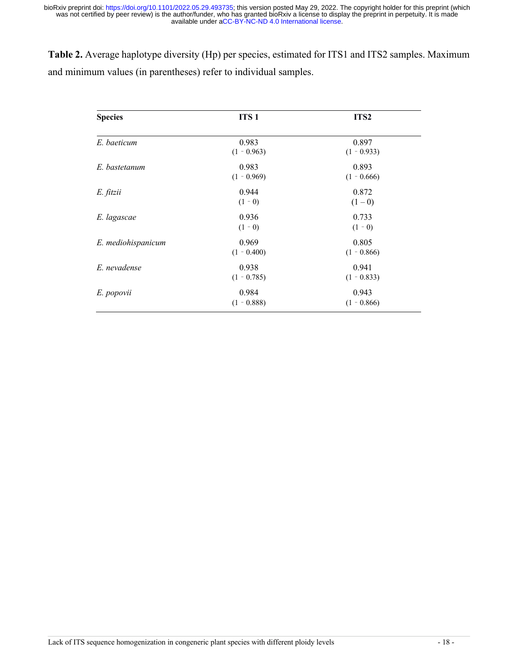**Table 2.** Average haplotype diversity (Hp) per species, estimated for ITS1 and ITS2 samples. Maximum and minimum values (in parentheses) refer to individual samples.

| <b>Species</b>     | ITS <sub>1</sub>       | ITS <sub>2</sub>       |
|--------------------|------------------------|------------------------|
| E. baeticum        | 0.983<br>$(1 - 0.963)$ | 0.897<br>$(1 - 0.933)$ |
| E. bastetanum      | 0.983<br>$(1 - 0.969)$ | 0.893<br>$(1 - 0.666)$ |
| E. fitzii          | 0.944<br>$(1 - 0)$     | 0.872<br>$(1-0)$       |
| E. lagascae        | 0.936<br>$(1 - 0)$     | 0.733<br>$(1 - 0)$     |
| E. mediohispanicum | 0.969<br>$(1 - 0.400)$ | 0.805<br>$(1 - 0.866)$ |
| E. nevadense       | 0.938<br>$(1 - 0.785)$ | 0.941<br>$(1 - 0.833)$ |
| E. popovii         | 0.984<br>$(1 - 0.888)$ | 0.943<br>$(1 - 0.866)$ |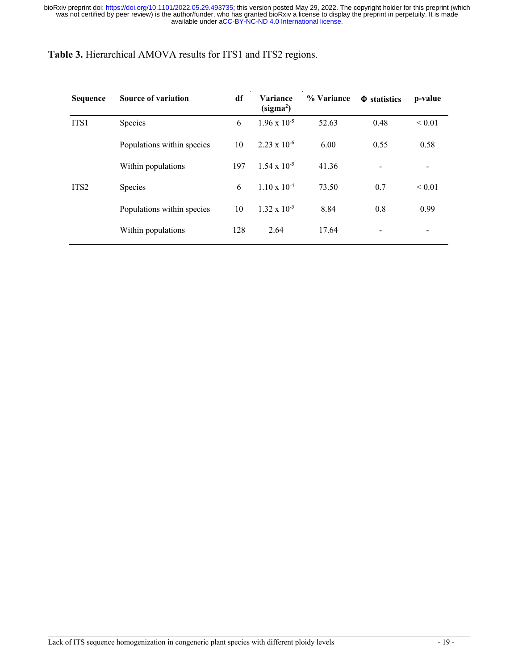**Table 3.** Hierarchical AMOVA results for ITS1 and ITS2 regions.

| <b>Sequence</b>  | <b>Source of variation</b> | df                                                                | <b>Variance</b><br>(sigma <sup>2</sup> ) | % Variance               | $\Phi$ statistics | p-value     |
|------------------|----------------------------|-------------------------------------------------------------------|------------------------------------------|--------------------------|-------------------|-------------|
| ITS1             | Species                    | 6                                                                 | $1.96 \times 10^{-5}$                    | 52.63                    | 0.48              | ${}_{0.01}$ |
|                  | Populations within species | 10                                                                | $2.23 \times 10^{-6}$                    | 6.00                     | 0.55              | 0.58        |
|                  | Within populations         | $1.54 \times 10^{-5}$<br>197<br>41.36<br>$\overline{\phantom{0}}$ |                                          | $\overline{\phantom{a}}$ |                   |             |
| ITS <sub>2</sub> | <b>Species</b>             | 6                                                                 | $1.10 \times 10^{-4}$                    | 73.50                    | 0.7               | ${}_{0.01}$ |
|                  | Populations within species | 10                                                                | $1.32 \times 10^{-5}$                    | 8.84                     | 0.8               | 0.99        |
|                  | Within populations         | 128                                                               | 2.64                                     | 17.64                    | -                 |             |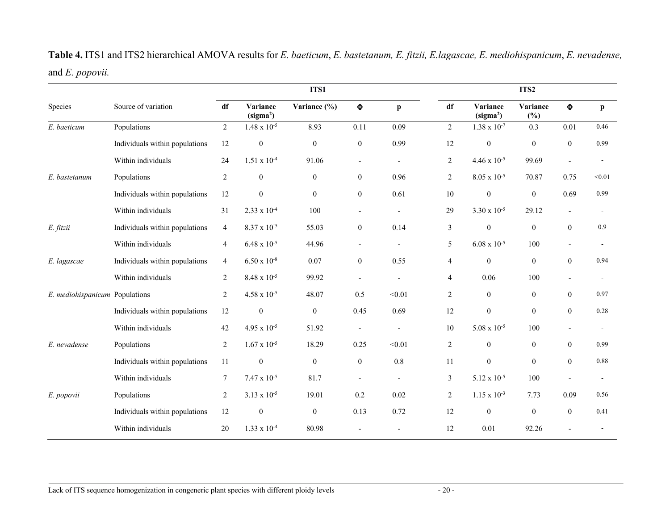**Table 4.** ITS1 and ITS2 hierarchical AMOVA results for *E. baeticum*, *E. bastetanum, E. fitzii, E.lagascae, E. mediohispanicum*, *E. nevadense,* and *E. popovii.*

|                                |                                | ITS1           |                                   |                  |                          | ITS2                     |                |                                   |                  |                  |              |
|--------------------------------|--------------------------------|----------------|-----------------------------------|------------------|--------------------------|--------------------------|----------------|-----------------------------------|------------------|------------------|--------------|
| Species                        | Source of variation            | df             | Variance<br>(sigma <sup>2</sup> ) | Variance (%)     | $\pmb{\Phi}$             | $\mathbf{p}$             | df             | Variance<br>(sigma <sup>2</sup> ) | Variance<br>(%)  | $\Phi$           | $\mathbf{p}$ |
| E. baeticum                    | Populations                    | $\overline{2}$ | $1.48 \times 10^{-5}$             | 8.93             | 0.11                     | 0.09                     | $\overline{2}$ | $1.38 \times 10^{-7}$             | 0.3              | 0.01             | 0.46         |
|                                | Individuals within populations | 12             | $\boldsymbol{0}$                  | $\boldsymbol{0}$ | $\boldsymbol{0}$         | 0.99                     | 12             | $\boldsymbol{0}$                  | $\mathbf{0}$     | $\theta$         | 0.99         |
|                                | Within individuals             | 24             | $1.51 \times 10^{-4}$             | 91.06            | $\overline{\phantom{a}}$ | $\blacksquare$           | $\overline{2}$ | $4.46 \times 10^{-5}$             | 99.69            |                  |              |
| E. bastetanum                  | Populations                    | $\overline{2}$ | $\boldsymbol{0}$                  | $\boldsymbol{0}$ | $\overline{0}$           | 0.96                     | 2              | $8.05 \times 10^{-5}$             | 70.87            | 0.75             | < 0.01       |
|                                | Individuals within populations | 12             | $\boldsymbol{0}$                  | $\boldsymbol{0}$ | $\boldsymbol{0}$         | 0.61                     | 10             | $\boldsymbol{0}$                  | $\overline{0}$   | 0.69             | 0.99         |
|                                | Within individuals             | 31             | $2.33 \times 10^{-4}$             | 100              | $\overline{a}$           | $\overline{a}$           | 29             | $3.30 \times 10^{-5}$             | 29.12            | $\overline{a}$   |              |
| E. fitzii                      | Individuals within populations | $\overline{4}$ | $8.37 \times 10^{-5}$             | 55.03            | $\boldsymbol{0}$         | 0.14                     | $\mathbf{3}$   | $\boldsymbol{0}$                  | $\boldsymbol{0}$ | $\mathbf{0}$     | 0.9          |
|                                | Within individuals             | $\overline{4}$ | $6.48 \times 10^{-5}$             | 44.96            | $\blacksquare$           | $\blacksquare$           | 5              | $6.08 \times 10^{-5}$             | 100              | $\blacksquare$   |              |
| E. lagascae                    | Individuals within populations | 4              | $6.50 \times 10^{-8}$             | 0.07             | $\boldsymbol{0}$         | 0.55                     | 4              | $\mathbf{0}$                      | $\boldsymbol{0}$ | $\mathbf{0}$     | 0.94         |
|                                | Within individuals             | $\overline{2}$ | $8.48 \times 10^{-5}$             | 99.92            | $\overline{\phantom{a}}$ |                          | 4              | 0.06                              | 100              | $\blacksquare$   |              |
| E. mediohispanicum Populations |                                | $\overline{2}$ | $4.58 \times 10^{-5}$             | 48.07            | 0.5                      | < 0.01                   | 2              | $\mathbf{0}$                      | $\mathbf{0}$     | $\theta$         | 0.97         |
|                                | Individuals within populations | 12             | $\boldsymbol{0}$                  | $\boldsymbol{0}$ | 0.45                     | 0.69                     | 12             | $\boldsymbol{0}$                  | $\overline{0}$   | $\boldsymbol{0}$ | 0.28         |
|                                | Within individuals             | 42             | $4.95 \times 10^{-5}$             | 51.92            |                          |                          | 10             | $5.08 \times 10^{-5}$             | 100              |                  |              |
| E. nevadense                   | Populations                    | $\overline{2}$ | $1.67 \times 10^{-5}$             | 18.29            | 0.25                     | < 0.01                   | 2              | $\mathbf{0}$                      | $\overline{0}$   | $\mathbf{0}$     | 0.99         |
|                                | Individuals within populations | 11             | $\boldsymbol{0}$                  | $\boldsymbol{0}$ | $\boldsymbol{0}$         | 0.8                      | 11             | $\boldsymbol{0}$                  | $\mathbf{0}$     | $\theta$         | 0.88         |
|                                | Within individuals             | 7              | $7.47 \times 10^{-5}$             | 81.7             | $\overline{\phantom{a}}$ | $\overline{\phantom{a}}$ | 3              | $5.12 \times 10^{-5}$             | 100              |                  |              |
| E. popovii                     | Populations                    | $\overline{2}$ | $3.13 \times 10^{-5}$             | 19.01            | 0.2                      | 0.02                     | 2              | $1.15 \times 10^{-3}$             | 7.73             | 0.09             | 0.56         |
|                                | Individuals within populations | $12\,$         | $\boldsymbol{0}$                  | $\boldsymbol{0}$ | 0.13                     | 0.72                     | 12             | $\boldsymbol{0}$                  | $\overline{0}$   | $\theta$         | 0.41         |
|                                | Within individuals             | 20             | $1.33 \times 10^{-4}$             | 80.98            |                          |                          | 12             | 0.01                              | 92.26            |                  |              |
|                                |                                |                |                                   |                  |                          |                          |                |                                   |                  |                  |              |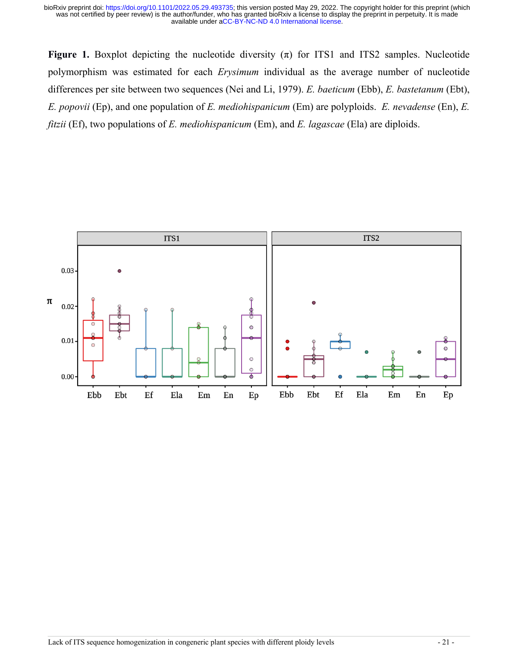**Figure 1.** Boxplot depicting the nucleotide diversity  $(\pi)$  for ITS1 and ITS2 samples. Nucleotide polymorphism was estimated for each *Erysimum* individual as the average number of nucleotide differences per site between two sequences (Nei and Li, 1979). *E. baeticum* (Ebb), *E. bastetanum* (Ebt), *E. popovii* (Ep), and one population of *E. mediohispanicum* (Em) are polyploids. *E. nevadense* (En), *E. fitzii* (Ef), two populations of *E. mediohispanicum* (Em), and *E. lagascae* (Ela) are diploids.

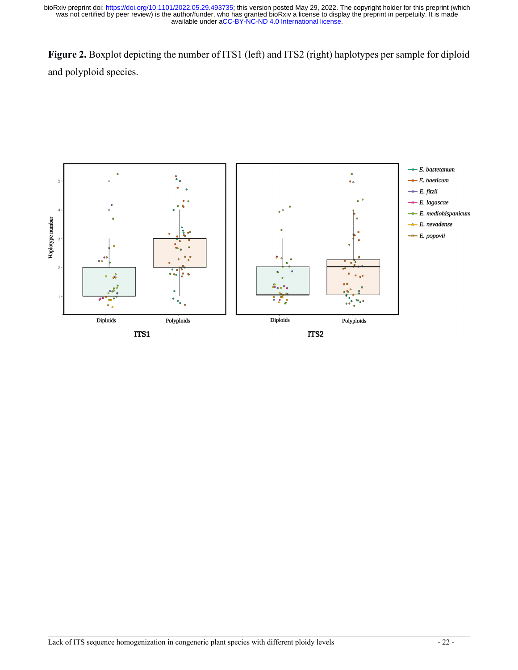**Figure 2.** Boxplot depicting the number of ITS1 (left) and ITS2 (right) haplotypes per sample for diploid and polyploid species.

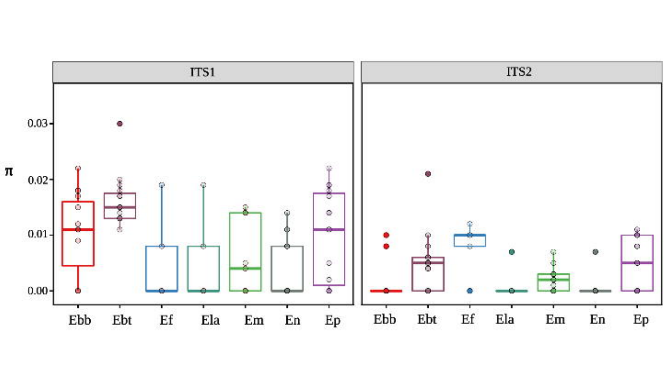